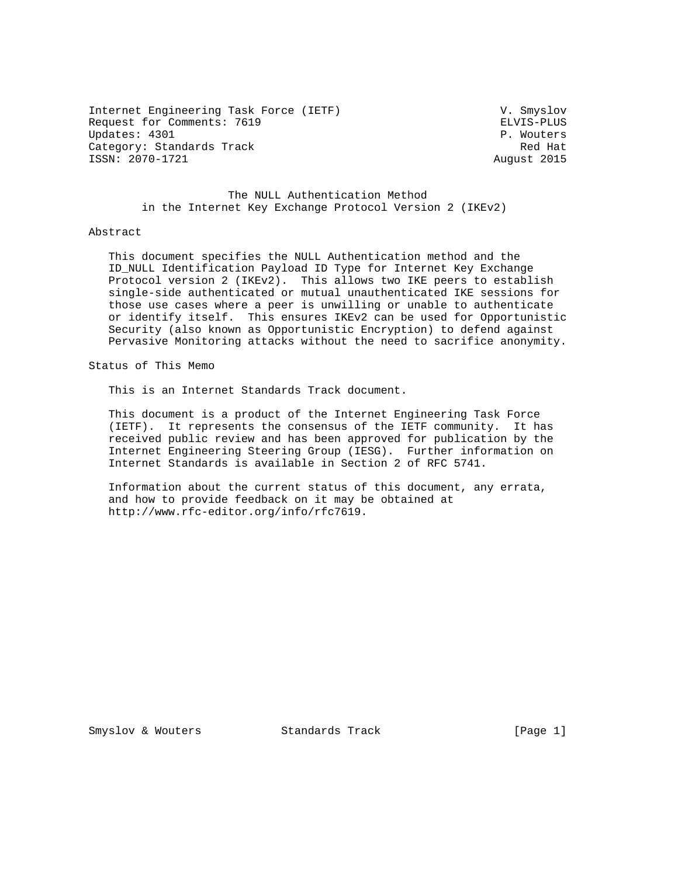Internet Engineering Task Force (IETF) V. Smyslov Request for Comments: 7619 ELVIS-PLUS Updates: 4301 P. Wouters Category: Standards Track Red Hat Red Hat Red Hat Red Hat Red Hat Red Hat Red Hat Red Hat Red Hat Red Hat Red ISSN: 2070-1721 August 2015

 The NULL Authentication Method in the Internet Key Exchange Protocol Version 2 (IKEv2)

#### Abstract

 This document specifies the NULL Authentication method and the ID\_NULL Identification Payload ID Type for Internet Key Exchange Protocol version 2 (IKEv2). This allows two IKE peers to establish single-side authenticated or mutual unauthenticated IKE sessions for those use cases where a peer is unwilling or unable to authenticate or identify itself. This ensures IKEv2 can be used for Opportunistic Security (also known as Opportunistic Encryption) to defend against Pervasive Monitoring attacks without the need to sacrifice anonymity.

Status of This Memo

This is an Internet Standards Track document.

 This document is a product of the Internet Engineering Task Force (IETF). It represents the consensus of the IETF community. It has received public review and has been approved for publication by the Internet Engineering Steering Group (IESG). Further information on Internet Standards is available in Section 2 of RFC 5741.

 Information about the current status of this document, any errata, and how to provide feedback on it may be obtained at http://www.rfc-editor.org/info/rfc7619.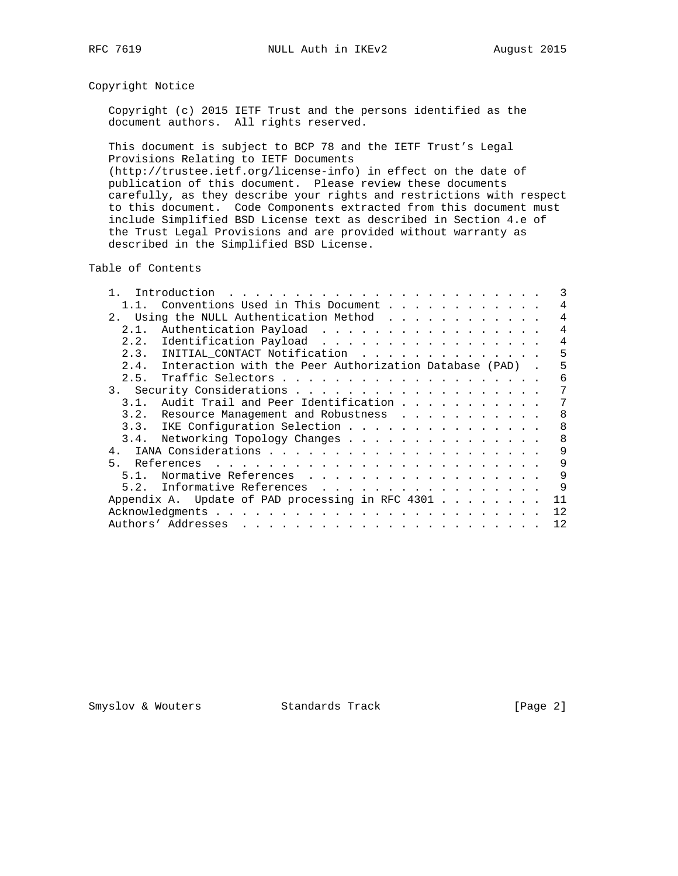# Copyright Notice

 Copyright (c) 2015 IETF Trust and the persons identified as the document authors. All rights reserved.

 This document is subject to BCP 78 and the IETF Trust's Legal Provisions Relating to IETF Documents (http://trustee.ietf.org/license-info) in effect on the date of publication of this document. Please review these documents carefully, as they describe your rights and restrictions with respect

 to this document. Code Components extracted from this document must include Simplified BSD License text as described in Section 4.e of the Trust Legal Provisions and are provided without warranty as described in the Simplified BSD License.

Table of Contents

|      | Conventions Used in This Document                           | 4              |
|------|-------------------------------------------------------------|----------------|
| 2.1  | Using the NULL Authentication Method                        | 4              |
| 2.1. | Authentication Payload                                      | $\overline{4}$ |
|      | 2.2. Identification Payload                                 | 4              |
|      | 2.3. INITIAL_CONTACT Notification                           | 5              |
|      | 2.4. Interaction with the Peer Authorization Database (PAD) | 5              |
| 2.5. |                                                             | 6              |
|      |                                                             | 7              |
| 3.1. | Audit Trail and Peer Identification                         | 7              |
|      | 3.2. Resource Management and Robustness                     | 8              |
|      | 3.3. IKE Configuration Selection                            | 8              |
|      | 3.4. Networking Topology Changes                            | 8              |
|      |                                                             | 9              |
| 5.   |                                                             | 9              |
| 51   | Normative References                                        | 9              |
|      | 5.2. Informative References                                 | 9              |
|      | Appendix A. Update of PAD processing in RFC 4301            | 11             |
|      | Acknowledgments                                             | 12             |
|      |                                                             | 12             |

Smyslov & Wouters Standards Track [Page 2]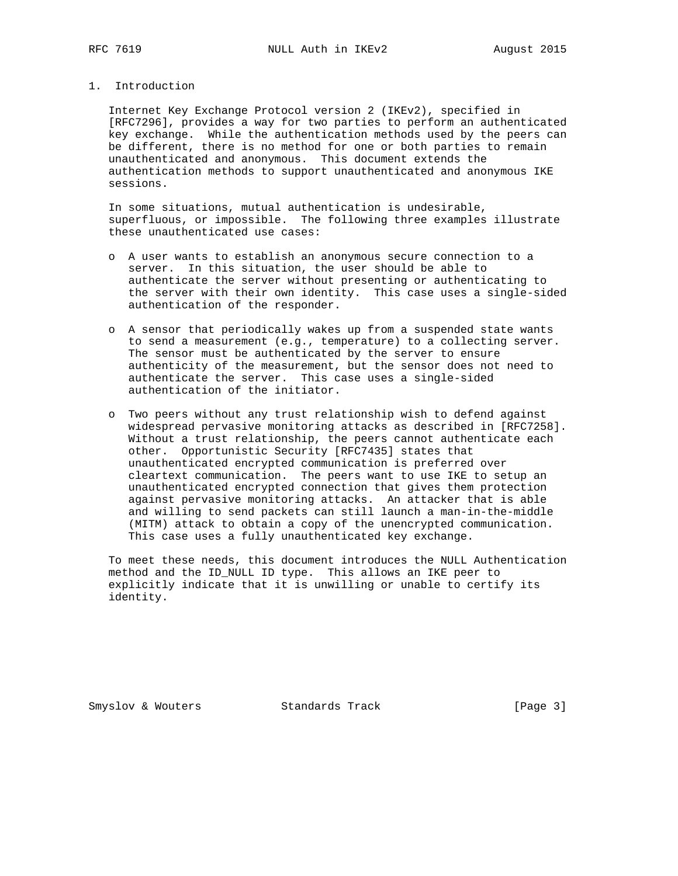# 1. Introduction

 Internet Key Exchange Protocol version 2 (IKEv2), specified in [RFC7296], provides a way for two parties to perform an authenticated key exchange. While the authentication methods used by the peers can be different, there is no method for one or both parties to remain unauthenticated and anonymous. This document extends the authentication methods to support unauthenticated and anonymous IKE sessions.

 In some situations, mutual authentication is undesirable, superfluous, or impossible. The following three examples illustrate these unauthenticated use cases:

- o A user wants to establish an anonymous secure connection to a server. In this situation, the user should be able to authenticate the server without presenting or authenticating to the server with their own identity. This case uses a single-sided authentication of the responder.
- o A sensor that periodically wakes up from a suspended state wants to send a measurement (e.g., temperature) to a collecting server. The sensor must be authenticated by the server to ensure authenticity of the measurement, but the sensor does not need to authenticate the server. This case uses a single-sided authentication of the initiator.
- o Two peers without any trust relationship wish to defend against widespread pervasive monitoring attacks as described in [RFC7258]. Without a trust relationship, the peers cannot authenticate each other. Opportunistic Security [RFC7435] states that unauthenticated encrypted communication is preferred over cleartext communication. The peers want to use IKE to setup an unauthenticated encrypted connection that gives them protection against pervasive monitoring attacks. An attacker that is able and willing to send packets can still launch a man-in-the-middle (MITM) attack to obtain a copy of the unencrypted communication. This case uses a fully unauthenticated key exchange.

 To meet these needs, this document introduces the NULL Authentication method and the ID\_NULL ID type. This allows an IKE peer to explicitly indicate that it is unwilling or unable to certify its identity.

Smyslov & Wouters Standards Track [Page 3]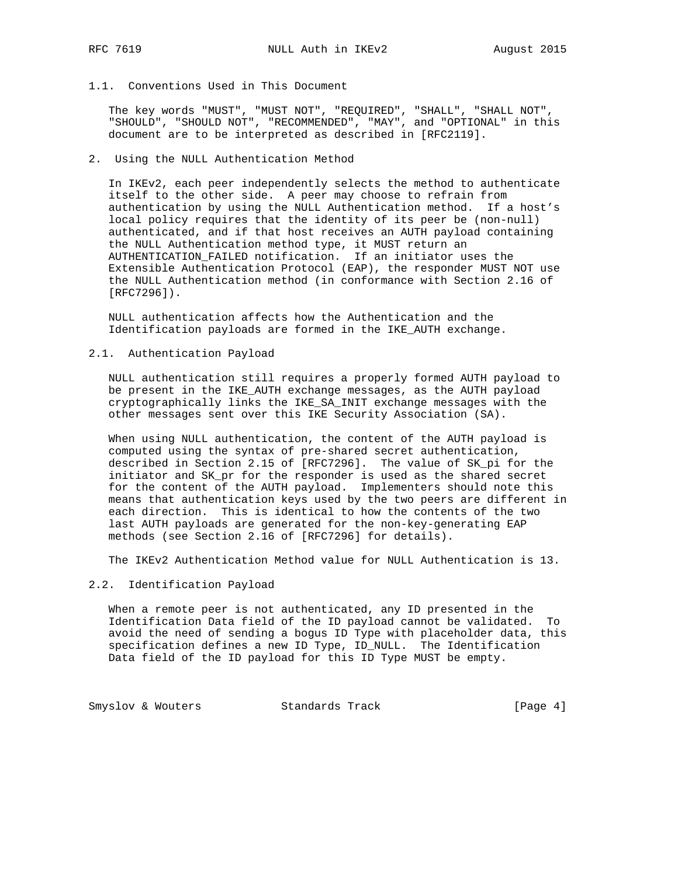# 1.1. Conventions Used in This Document

 The key words "MUST", "MUST NOT", "REQUIRED", "SHALL", "SHALL NOT", "SHOULD", "SHOULD NOT", "RECOMMENDED", "MAY", and "OPTIONAL" in this document are to be interpreted as described in [RFC2119].

# 2. Using the NULL Authentication Method

 In IKEv2, each peer independently selects the method to authenticate itself to the other side. A peer may choose to refrain from authentication by using the NULL Authentication method. If a host's local policy requires that the identity of its peer be (non-null) authenticated, and if that host receives an AUTH payload containing the NULL Authentication method type, it MUST return an AUTHENTICATION\_FAILED notification. If an initiator uses the Extensible Authentication Protocol (EAP), the responder MUST NOT use the NULL Authentication method (in conformance with Section 2.16 of [RFC7296]).

 NULL authentication affects how the Authentication and the Identification payloads are formed in the IKE\_AUTH exchange.

#### 2.1. Authentication Payload

 NULL authentication still requires a properly formed AUTH payload to be present in the IKE\_AUTH exchange messages, as the AUTH payload cryptographically links the IKE\_SA\_INIT exchange messages with the other messages sent over this IKE Security Association (SA).

 When using NULL authentication, the content of the AUTH payload is computed using the syntax of pre-shared secret authentication, described in Section 2.15 of [RFC7296]. The value of SK\_pi for the initiator and SK\_pr for the responder is used as the shared secret for the content of the AUTH payload. Implementers should note this means that authentication keys used by the two peers are different in each direction. This is identical to how the contents of the two last AUTH payloads are generated for the non-key-generating EAP methods (see Section 2.16 of [RFC7296] for details).

The IKEv2 Authentication Method value for NULL Authentication is 13.

#### 2.2. Identification Payload

 When a remote peer is not authenticated, any ID presented in the Identification Data field of the ID payload cannot be validated. To avoid the need of sending a bogus ID Type with placeholder data, this specification defines a new ID Type, ID\_NULL. The Identification Data field of the ID payload for this ID Type MUST be empty.

Smyslov & Wouters Standards Track [Page 4]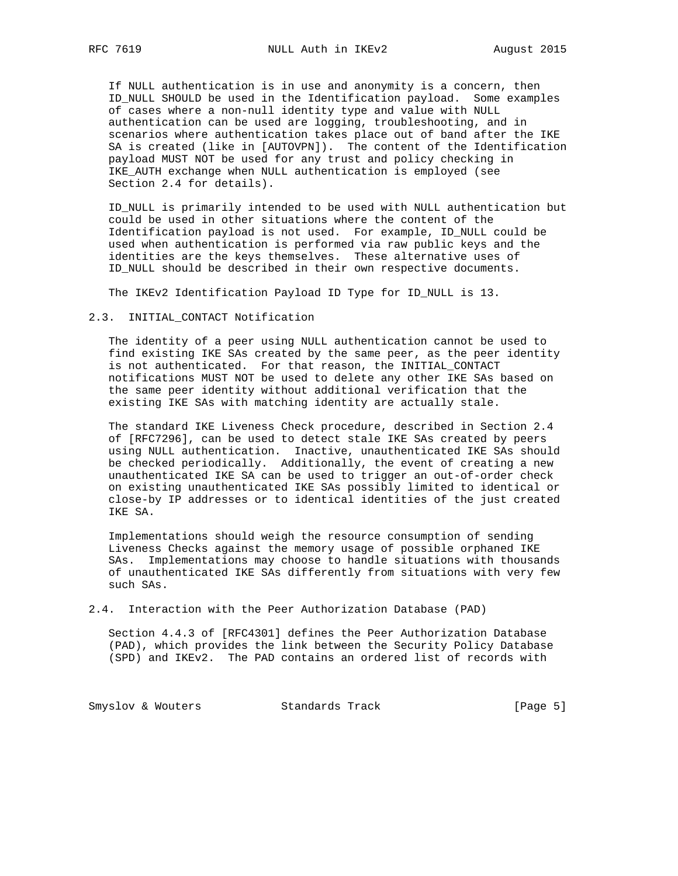If NULL authentication is in use and anonymity is a concern, then ID\_NULL SHOULD be used in the Identification payload. Some examples of cases where a non-null identity type and value with NULL authentication can be used are logging, troubleshooting, and in scenarios where authentication takes place out of band after the IKE SA is created (like in [AUTOVPN]). The content of the Identification payload MUST NOT be used for any trust and policy checking in IKE\_AUTH exchange when NULL authentication is employed (see Section 2.4 for details).

 ID\_NULL is primarily intended to be used with NULL authentication but could be used in other situations where the content of the Identification payload is not used. For example, ID\_NULL could be used when authentication is performed via raw public keys and the identities are the keys themselves. These alternative uses of ID\_NULL should be described in their own respective documents.

The IKEv2 Identification Payload ID Type for ID\_NULL is 13.

#### 2.3. INITIAL\_CONTACT Notification

 The identity of a peer using NULL authentication cannot be used to find existing IKE SAs created by the same peer, as the peer identity is not authenticated. For that reason, the INITIAL\_CONTACT notifications MUST NOT be used to delete any other IKE SAs based on the same peer identity without additional verification that the existing IKE SAs with matching identity are actually stale.

 The standard IKE Liveness Check procedure, described in Section 2.4 of [RFC7296], can be used to detect stale IKE SAs created by peers using NULL authentication. Inactive, unauthenticated IKE SAs should be checked periodically. Additionally, the event of creating a new unauthenticated IKE SA can be used to trigger an out-of-order check on existing unauthenticated IKE SAs possibly limited to identical or close-by IP addresses or to identical identities of the just created IKE SA.

 Implementations should weigh the resource consumption of sending Liveness Checks against the memory usage of possible orphaned IKE SAs. Implementations may choose to handle situations with thousands of unauthenticated IKE SAs differently from situations with very few such SAs.

2.4. Interaction with the Peer Authorization Database (PAD)

 Section 4.4.3 of [RFC4301] defines the Peer Authorization Database (PAD), which provides the link between the Security Policy Database (SPD) and IKEv2. The PAD contains an ordered list of records with

Smyslov & Wouters Standards Track [Page 5]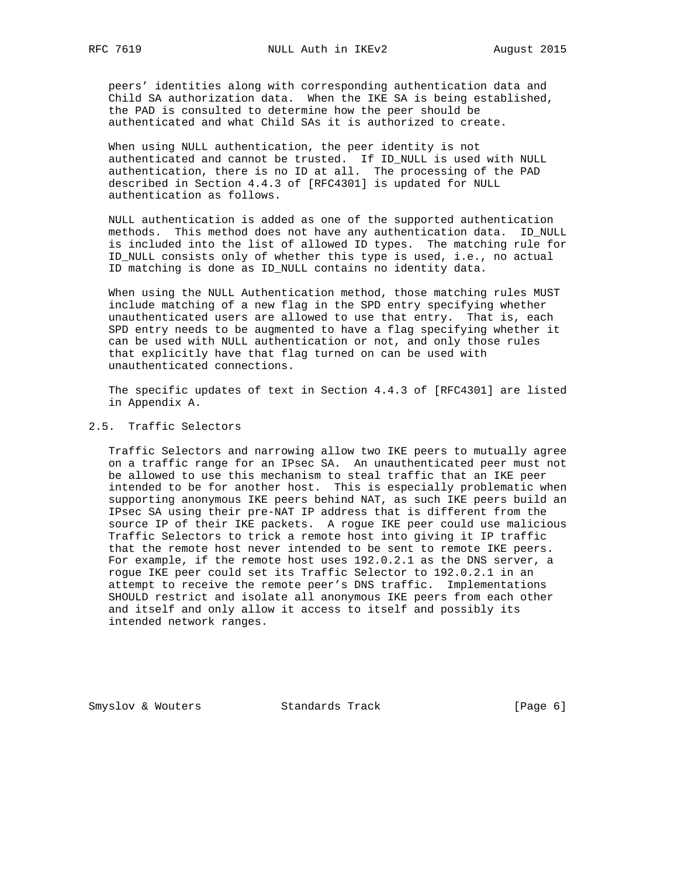peers' identities along with corresponding authentication data and Child SA authorization data. When the IKE SA is being established, the PAD is consulted to determine how the peer should be authenticated and what Child SAs it is authorized to create.

 When using NULL authentication, the peer identity is not authenticated and cannot be trusted. If ID\_NULL is used with NULL authentication, there is no ID at all. The processing of the PAD described in Section 4.4.3 of [RFC4301] is updated for NULL authentication as follows.

 NULL authentication is added as one of the supported authentication methods. This method does not have any authentication data. ID\_NULL is included into the list of allowed ID types. The matching rule for ID\_NULL consists only of whether this type is used, i.e., no actual ID matching is done as ID NULL contains no identity data.

 When using the NULL Authentication method, those matching rules MUST include matching of a new flag in the SPD entry specifying whether unauthenticated users are allowed to use that entry. That is, each SPD entry needs to be augmented to have a flag specifying whether it can be used with NULL authentication or not, and only those rules that explicitly have that flag turned on can be used with unauthenticated connections.

 The specific updates of text in Section 4.4.3 of [RFC4301] are listed in Appendix A.

# 2.5. Traffic Selectors

 Traffic Selectors and narrowing allow two IKE peers to mutually agree on a traffic range for an IPsec SA. An unauthenticated peer must not be allowed to use this mechanism to steal traffic that an IKE peer intended to be for another host. This is especially problematic when supporting anonymous IKE peers behind NAT, as such IKE peers build an IPsec SA using their pre-NAT IP address that is different from the source IP of their IKE packets. A rogue IKE peer could use malicious Traffic Selectors to trick a remote host into giving it IP traffic that the remote host never intended to be sent to remote IKE peers. For example, if the remote host uses 192.0.2.1 as the DNS server, a rogue IKE peer could set its Traffic Selector to 192.0.2.1 in an attempt to receive the remote peer's DNS traffic. Implementations SHOULD restrict and isolate all anonymous IKE peers from each other and itself and only allow it access to itself and possibly its intended network ranges.

Smyslov & Wouters Standards Track [Page 6]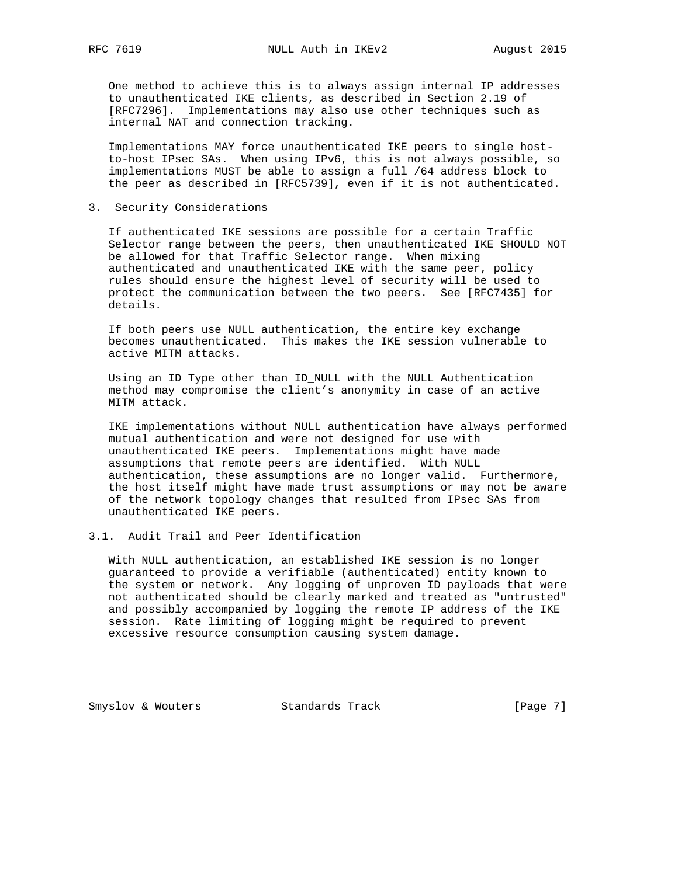One method to achieve this is to always assign internal IP addresses to unauthenticated IKE clients, as described in Section 2.19 of [RFC7296]. Implementations may also use other techniques such as internal NAT and connection tracking.

 Implementations MAY force unauthenticated IKE peers to single host to-host IPsec SAs. When using IPv6, this is not always possible, so implementations MUST be able to assign a full /64 address block to the peer as described in [RFC5739], even if it is not authenticated.

3. Security Considerations

 If authenticated IKE sessions are possible for a certain Traffic Selector range between the peers, then unauthenticated IKE SHOULD NOT be allowed for that Traffic Selector range. When mixing authenticated and unauthenticated IKE with the same peer, policy rules should ensure the highest level of security will be used to protect the communication between the two peers. See [RFC7435] for details.

 If both peers use NULL authentication, the entire key exchange becomes unauthenticated. This makes the IKE session vulnerable to active MITM attacks.

 Using an ID Type other than ID\_NULL with the NULL Authentication method may compromise the client's anonymity in case of an active MITM attack.

 IKE implementations without NULL authentication have always performed mutual authentication and were not designed for use with unauthenticated IKE peers. Implementations might have made assumptions that remote peers are identified. With NULL authentication, these assumptions are no longer valid. Furthermore, the host itself might have made trust assumptions or may not be aware of the network topology changes that resulted from IPsec SAs from unauthenticated IKE peers.

# 3.1. Audit Trail and Peer Identification

 With NULL authentication, an established IKE session is no longer guaranteed to provide a verifiable (authenticated) entity known to the system or network. Any logging of unproven ID payloads that were not authenticated should be clearly marked and treated as "untrusted" and possibly accompanied by logging the remote IP address of the IKE session. Rate limiting of logging might be required to prevent excessive resource consumption causing system damage.

Smyslov & Wouters Standards Track [Page 7]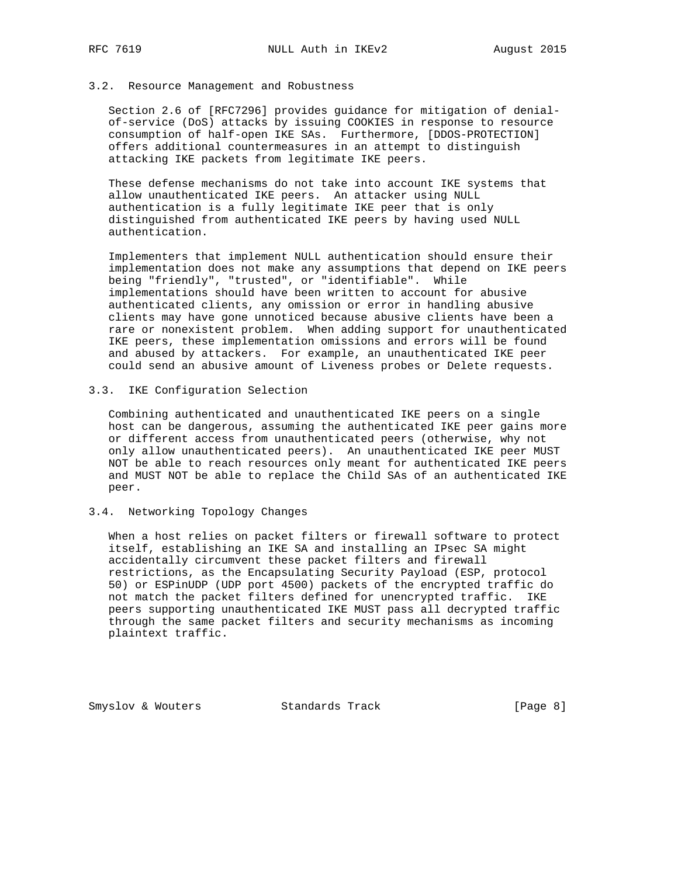### 3.2. Resource Management and Robustness

 Section 2.6 of [RFC7296] provides guidance for mitigation of denial of-service (DoS) attacks by issuing COOKIES in response to resource consumption of half-open IKE SAs. Furthermore, [DDOS-PROTECTION] offers additional countermeasures in an attempt to distinguish attacking IKE packets from legitimate IKE peers.

 These defense mechanisms do not take into account IKE systems that allow unauthenticated IKE peers. An attacker using NULL authentication is a fully legitimate IKE peer that is only distinguished from authenticated IKE peers by having used NULL authentication.

 Implementers that implement NULL authentication should ensure their implementation does not make any assumptions that depend on IKE peers being "friendly", "trusted", or "identifiable". While implementations should have been written to account for abusive authenticated clients, any omission or error in handling abusive clients may have gone unnoticed because abusive clients have been a rare or nonexistent problem. When adding support for unauthenticated IKE peers, these implementation omissions and errors will be found and abused by attackers. For example, an unauthenticated IKE peer could send an abusive amount of Liveness probes or Delete requests.

# 3.3. IKE Configuration Selection

 Combining authenticated and unauthenticated IKE peers on a single host can be dangerous, assuming the authenticated IKE peer gains more or different access from unauthenticated peers (otherwise, why not only allow unauthenticated peers). An unauthenticated IKE peer MUST NOT be able to reach resources only meant for authenticated IKE peers and MUST NOT be able to replace the Child SAs of an authenticated IKE peer.

# 3.4. Networking Topology Changes

 When a host relies on packet filters or firewall software to protect itself, establishing an IKE SA and installing an IPsec SA might accidentally circumvent these packet filters and firewall restrictions, as the Encapsulating Security Payload (ESP, protocol 50) or ESPinUDP (UDP port 4500) packets of the encrypted traffic do not match the packet filters defined for unencrypted traffic. IKE peers supporting unauthenticated IKE MUST pass all decrypted traffic through the same packet filters and security mechanisms as incoming plaintext traffic.

Smyslov & Wouters Standards Track [Page 8]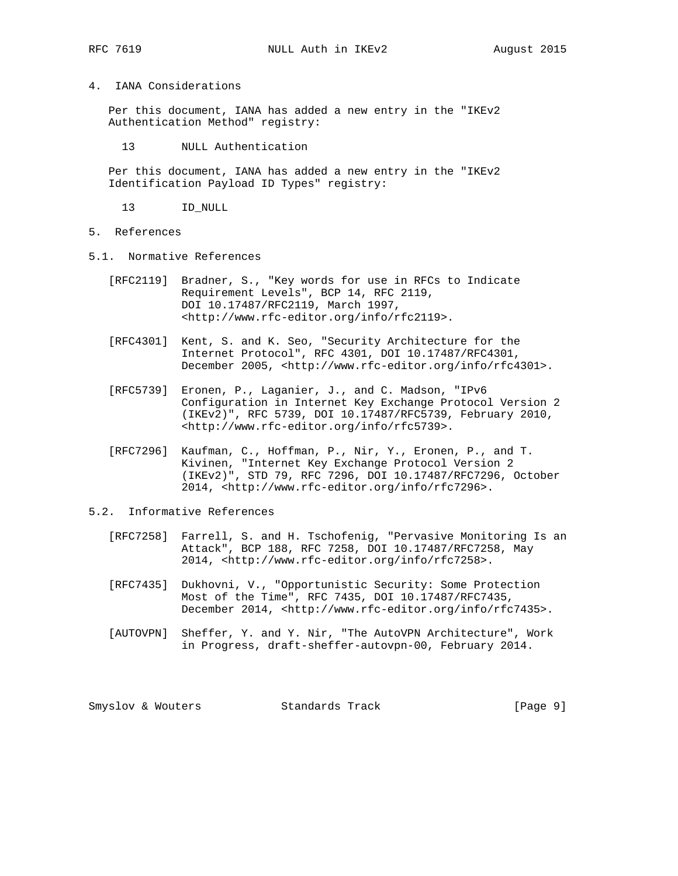# 4. IANA Considerations

 Per this document, IANA has added a new entry in the "IKEv2 Authentication Method" registry:

13 NULL Authentication

 Per this document, IANA has added a new entry in the "IKEv2 Identification Payload ID Types" registry:

13 ID\_NULL

- 5. References
- 5.1. Normative References
	- [RFC2119] Bradner, S., "Key words for use in RFCs to Indicate Requirement Levels", BCP 14, RFC 2119, DOI 10.17487/RFC2119, March 1997, <http://www.rfc-editor.org/info/rfc2119>.
	- [RFC4301] Kent, S. and K. Seo, "Security Architecture for the Internet Protocol", RFC 4301, DOI 10.17487/RFC4301, December 2005, <http://www.rfc-editor.org/info/rfc4301>.
	- [RFC5739] Eronen, P., Laganier, J., and C. Madson, "IPv6 Configuration in Internet Key Exchange Protocol Version 2 (IKEv2)", RFC 5739, DOI 10.17487/RFC5739, February 2010, <http://www.rfc-editor.org/info/rfc5739>.
	- [RFC7296] Kaufman, C., Hoffman, P., Nir, Y., Eronen, P., and T. Kivinen, "Internet Key Exchange Protocol Version 2 (IKEv2)", STD 79, RFC 7296, DOI 10.17487/RFC7296, October 2014, <http://www.rfc-editor.org/info/rfc7296>.

#### 5.2. Informative References

- [RFC7258] Farrell, S. and H. Tschofenig, "Pervasive Monitoring Is an Attack", BCP 188, RFC 7258, DOI 10.17487/RFC7258, May 2014, <http://www.rfc-editor.org/info/rfc7258>.
- [RFC7435] Dukhovni, V., "Opportunistic Security: Some Protection Most of the Time", RFC 7435, DOI 10.17487/RFC7435, December 2014, <http://www.rfc-editor.org/info/rfc7435>.
- [AUTOVPN] Sheffer, Y. and Y. Nir, "The AutoVPN Architecture", Work in Progress, draft-sheffer-autovpn-00, February 2014.

Smyslov & Wouters Standards Track [Page 9]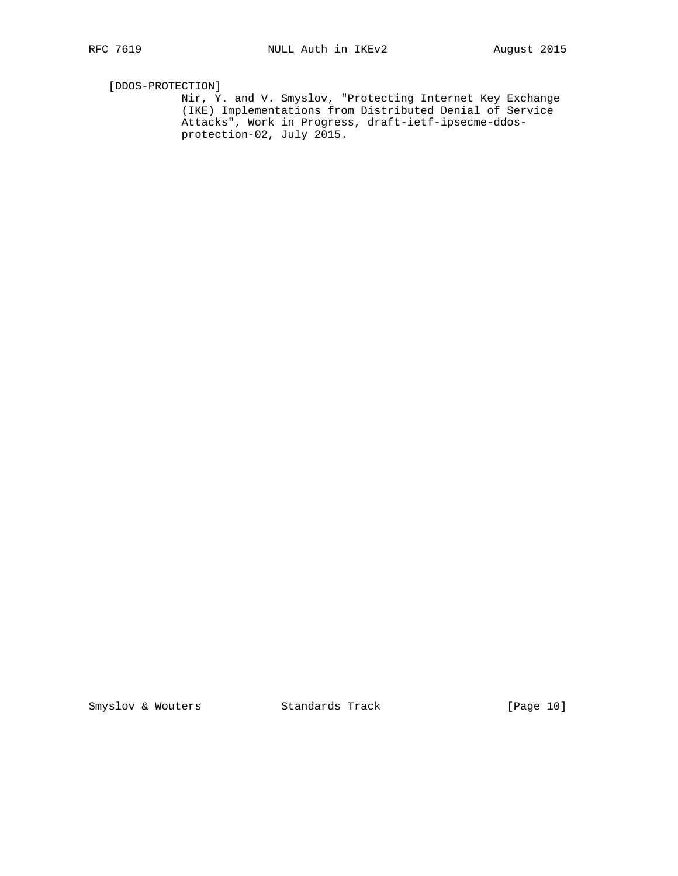[DDOS-PROTECTION]

 Nir, Y. and V. Smyslov, "Protecting Internet Key Exchange (IKE) Implementations from Distributed Denial of Service Attacks", Work in Progress, draft-ietf-ipsecme-ddos protection-02, July 2015.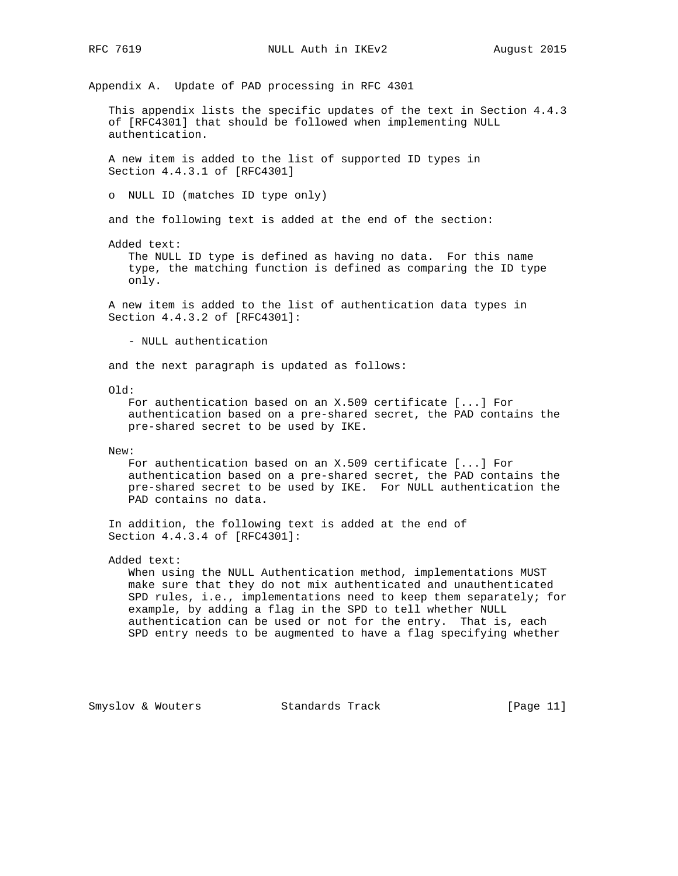Appendix A. Update of PAD processing in RFC 4301 This appendix lists the specific updates of the text in Section 4.4.3 of [RFC4301] that should be followed when implementing NULL authentication. A new item is added to the list of supported ID types in Section 4.4.3.1 of [RFC4301] o NULL ID (matches ID type only) and the following text is added at the end of the section: Added text: The NULL ID type is defined as having no data. For this name type, the matching function is defined as comparing the ID type only. A new item is added to the list of authentication data types in Section 4.4.3.2 of [RFC4301]: - NULL authentication and the next paragraph is updated as follows: Old: For authentication based on an X.509 certificate [...] For authentication based on a pre-shared secret, the PAD contains the pre-shared secret to be used by IKE. New: For authentication based on an X.509 certificate [...] For authentication based on a pre-shared secret, the PAD contains the pre-shared secret to be used by IKE. For NULL authentication the PAD contains no data. In addition, the following text is added at the end of Section 4.4.3.4 of [RFC4301]: Added text: When using the NULL Authentication method, implementations MUST make sure that they do not mix authenticated and unauthenticated SPD rules, i.e., implementations need to keep them separately; for example, by adding a flag in the SPD to tell whether NULL authentication can be used or not for the entry. That is, each SPD entry needs to be augmented to have a flag specifying whether

Smyslov & Wouters Standards Track [Page 11]